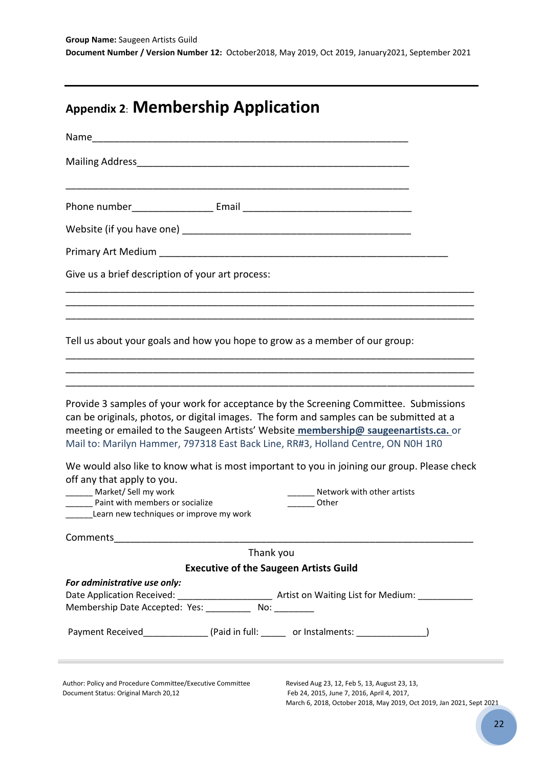# **Appendix 2**: **Membership Application**

| Give us a brief description of your art process:                                                                                                                                                                                                                                                                                                                                                                                                                                                                                                                                                |                                               |                                                                                                                         |  |
|-------------------------------------------------------------------------------------------------------------------------------------------------------------------------------------------------------------------------------------------------------------------------------------------------------------------------------------------------------------------------------------------------------------------------------------------------------------------------------------------------------------------------------------------------------------------------------------------------|-----------------------------------------------|-------------------------------------------------------------------------------------------------------------------------|--|
|                                                                                                                                                                                                                                                                                                                                                                                                                                                                                                                                                                                                 |                                               |                                                                                                                         |  |
| Tell us about your goals and how you hope to grow as a member of our group:                                                                                                                                                                                                                                                                                                                                                                                                                                                                                                                     |                                               |                                                                                                                         |  |
|                                                                                                                                                                                                                                                                                                                                                                                                                                                                                                                                                                                                 |                                               |                                                                                                                         |  |
|                                                                                                                                                                                                                                                                                                                                                                                                                                                                                                                                                                                                 |                                               |                                                                                                                         |  |
| Provide 3 samples of your work for acceptance by the Screening Committee. Submissions<br>can be originals, photos, or digital images. The form and samples can be submitted at a<br>meeting or emailed to the Saugeen Artists' Website membership@ saugeenartists.ca. or<br>Mail to: Marilyn Hammer, 797318 East Back Line, RR#3, Holland Centre, ON NOH 1RO<br>We would also like to know what is most important to you in joining our group. Please check<br>off any that apply to you.<br>Market/ Sell my work<br>Paint with members or socialize<br>Learn new techniques or improve my work |                                               | Network with other artists<br>Other                                                                                     |  |
| Comments                                                                                                                                                                                                                                                                                                                                                                                                                                                                                                                                                                                        |                                               |                                                                                                                         |  |
|                                                                                                                                                                                                                                                                                                                                                                                                                                                                                                                                                                                                 | Thank you                                     |                                                                                                                         |  |
|                                                                                                                                                                                                                                                                                                                                                                                                                                                                                                                                                                                                 | <b>Executive of the Saugeen Artists Guild</b> |                                                                                                                         |  |
| For administrative use only:<br>Date Application Received:<br>Membership Date Accepted: Yes: ___________ No: ________                                                                                                                                                                                                                                                                                                                                                                                                                                                                           |                                               | <b>Matrice Strute Control Control Control Control Control Control Control Control Control Control Control Control C</b> |  |